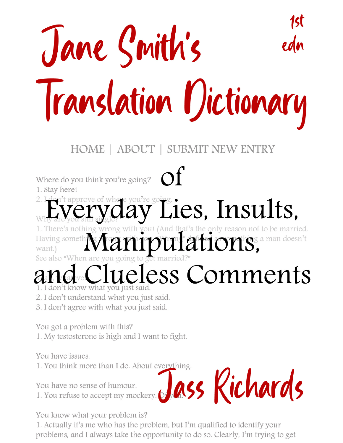# Jane Smith's Translation Dictionary

HOME | ABOUT | SUBMIT NEW ENTRY

## Where do you think you're going?  $\bigcap$

1. Stay here!

# <sup>2. I</sup>n't approve of where you're going : ies, Insults,

rong with you! (And that's the only reason not to be married. 1g wrong Having someth want.)

See also "When are you going to get marri

### ueless Comments 1. I don't know what you just said

- 
- 2. I don't understand what you just said.
- 3. I don't agree with what you just said.

You got a problem with this?

1. My testosterone is high and I want to fight.

You have issues.

1. You think more than I do. About everything.

You have no sense of humour.<br>1. You refuse to accept my mockery. Jass Kichards

You know what your problem is?

1. Actually it's me who has the problem, but I'm qualified to identify your problems, and I always take the opportunity to do so. Clearly, I'm trying to get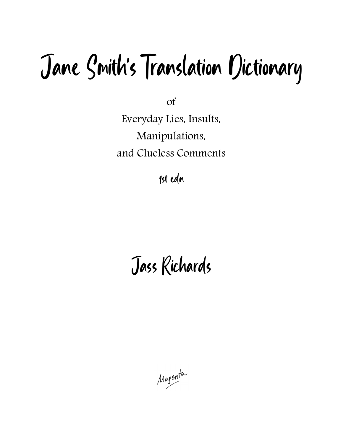# Jane Smith's Translation Dictionary

of

Everyday Lies, Insults, Manipulations, and Clueless Comments

1st edn

Jass Richards

Magenta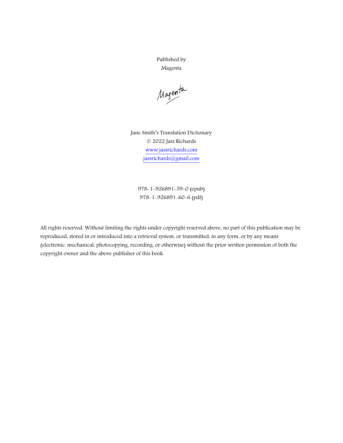Published by Magenta

Magenta

Jane Smith's Translation Dictionary © 2022 Jass Richards www.jassrichards.com jassrichards@gmail.com

978-1-926891-59-0 (epub) 978-1-926891-60-6 (pdf)

All rights reserved. Without limiting the rights under copyright reserved above, no part of this publication may be reproduced, stored in or introduced into a retrieval system, or transmitted, in any form, or by any means (electronic, mechanical, photocopying, recording, or otherwise) without the prior written permission of both the copyright owner and the above publisher of this book.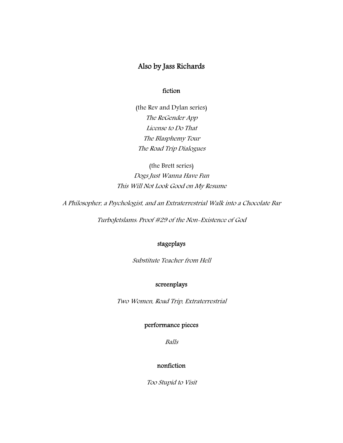#### Also by Jass Richards

#### fiction

(the Rev and Dylan series) The ReGender App License to Do That The Blasphemy Tour The Road Trip Dialogues

(the Brett series) Dogs Just Wanna Have Fun This Will Not Look Good on My Resume

A Philosopher, a Psychologist, and an Extraterrestrial Walk into a Chocolate Bar

TurboJetslams: Proof #29 of the Non-Existence of God

#### stageplays

Substitute Teacher from Hell

#### screenplays

Two Women, Road Trip, Extraterrestrial

#### performance pieces

Balls

#### nonfiction

Too Stupid to Visit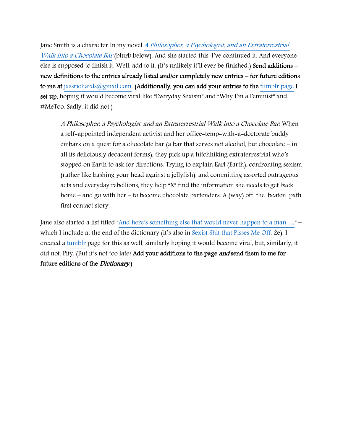Jane Smith is a character In my novel A Philosopher, a Psychologist, and an Extraterrestrial Walk into a Chocolate Bar (blurb below). And she started this. I've continued it. And everyone else is supposed to finish it. Well, add to it. (It's unlikely it'll ever be finished.) Send additions – new definitions to the entries already listed and/or completely new entries – for future editions to me at jassrichards@gmail.com. (Additionally, you can add your entries to the tumblr page I set up, hoping it would become viral like "Everyday Sexism" and "Why I'm a Feminist" and #MeToo. Sadly, it did not.)

A Philosopher, a Psychologist, and an Extraterrestrial Walk into a Chocolate Bar: When a self-appointed independent activist and her office-temp-with-a-doctorate buddy embark on a quest for a chocolate bar (a bar that serves not alcohol, but chocolate – in all its deliciously decadent forms), they pick up a hitchhiking extraterrestrial who's stopped on Earth to ask for directions. Trying to explain Earl (Earth), confronting sexism (rather like bashing your head against a jellyfish), and committing assorted outrageous acts and everyday rebellions, they help "X" find the information she needs to get back home – and go with her – to become chocolate bartenders. A (way) off-the-beaten-path first contact story.

Jane also started a list titled "And here's something else that would never happen to a man …" – which I include at the end of the dictionary (it's also in Sexist Shit that Pisses Me Off, 2e). I created a tumblr page for this as well, similarly hoping it would become viral, but, similarly, it did not. Pity. (But it's not too late! Add your additions to the page and send them to me for future editions of the *Dictionary*.)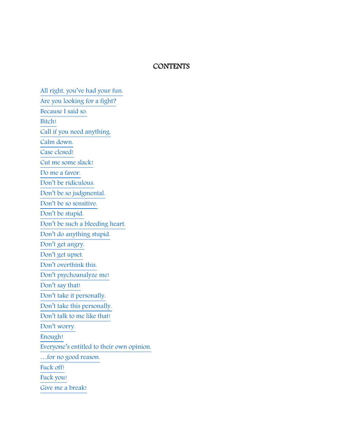#### **CONTENTS**

All right, you've had your fun. Are you looking for a fight? Because I said so. Bitch! Call if you need anything. Calm down. Case closed! Cut me some slack! Do me a favor. Don't be ridiculous. Don't be so judgmental. Don't be so sensitive. Don't be stupid. Don't be such a bleeding heart. Don't do anything stupid. Don't get angry. Don't get upset. Don't overthink this. Don't psychoanalyze me! Don't say that! Don't take it personally. Don't take this personally. Don't talk to me like that! Don't worry. Enough! Everyone's entitled to their own opinion. …for no good reason. Fuck off! Fuck you! Give me a break!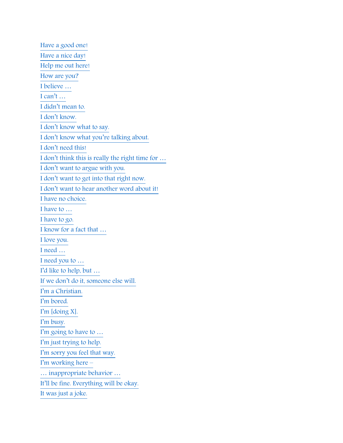Have a good one! Have a nice day! Help me out here! How are you? I believe … I can't … I didn't mean to. I don't know. I don't know what to say. I don't know what you're talking about. I don't need this! I don't think this is really the right time for … I don't want to argue with you. I don't want to get into that right now. I don't want to hear another word about it! I have no choice. I have to … I have to go. I know for a fact that … I love you. I need … I need you to … I'd like to help, but … If we don't do it, someone else will. I'm a Christian. I'm bored. I'm [doing X]. I'm busy. I'm going to have to … I'm just trying to help. I'm sorry you feel that way. I'm working here – … inappropriate behavior … It'll be fine. Everything will be okay. It was just a joke.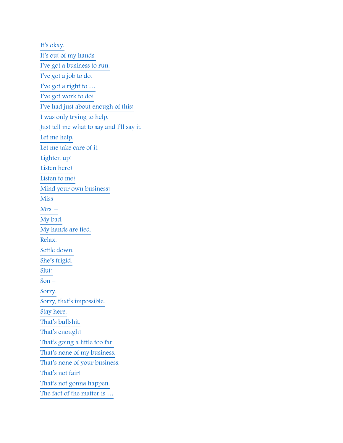It's okay. It's out of my hands. I've got a business to run. I've got a job to do. I've got a right to … I've got work to do! I've had just about enough of this! I was only trying to help. Just tell me what to say and I'll say it. Let me help. Let me take care of it. Lighten up! Listen here! Listen to me! Mind your own business! Miss – Mrs. – My bad. My hands are tied. Relax. Settle down. She's frigid. Slut! Son – Sorry. Sorry, that's impossible. Stay here. That's bullshit. That's enough! That's going a little too far. That's none of my business. That's none of your business. That's not fair! That's not gonna happen. The fact of the matter is …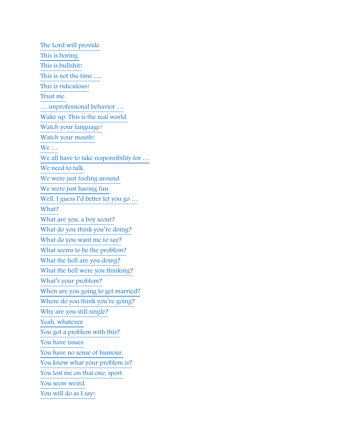The Lord will provide. This is boring. This is bullshit! This is not the time … This is ridiculous! Trust me. … unprofessional behavior … Wake up. This is the real world. Watch your language! Watch your mouth! We … We all have to take responsibility for ... We need to talk. We were just fooling around. We were just having fun. Well, I guess I'd better let you go … What? What are you, a boy scout? What do you think you're doing? What do you want me to say? What seems to be the problem? What the hell are you doing? What the hell were you thinking? What's your problem? When are you going to get married? Where do you think you're going? Why are you still single? Yeah, whatever. You got a problem with this? You have issues. You have no sense of humour. You know what your problem is? You lost me on that one, sport. You seem weird. You will do as I say!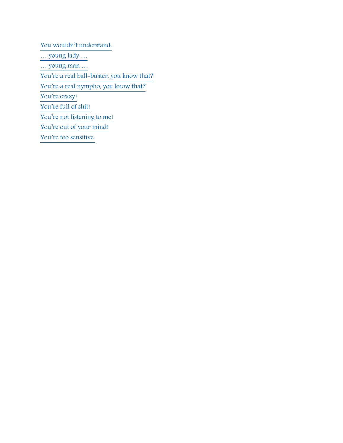You wouldn't understand. … young lady … … young man … You're a real ball-buster, you know that? You're a real nympho, you know that? You're crazy! You're full of shit! You're not listening to me! You're out of your mind! You're too sensitive.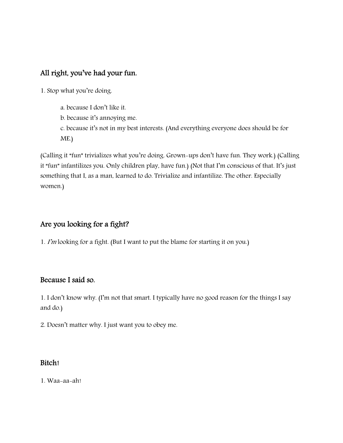#### All right, you've had your fun.

1. Stop what you're doing.

a. because I don't like it. b. because it's annoying me. c. because it's not in my best interests. (And everything everyone does should be for ME.)

(Calling it "fun" trivializes what you're doing. Grown-ups don't have fun. They work.) (Calling it "fun" infantilizes you. Only children play, have fun.) (Not that I'm conscious of that. It's just something that I, as a man, learned to do. Trivialize and infantilize. The other. Especially women.)

#### Are you looking for a fight?

1. I'm looking for a fight. (But I want to put the blame for starting it on you.)

#### Because I said so.

1. I don't know why. (I'm not that smart. I typically have no good reason for the things I say and do.)

2. Doesn't matter why. I just want you to obey me.

#### Bitch!

1. Waa-aa-ah!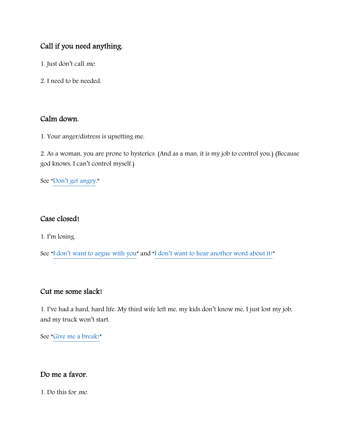#### Call if you need anything.

- 1. Just don't call me.
- 2. I need to be needed.

#### Calm down.

1. Your anger/distress is upsetting me.

2. As a woman, you are prone to hysterics. (And as a man, it is my job to control you.) (Because god knows, I can't control myself.)

See "Don't get angry."

#### Case closed!

1. I'm losing.

See "I don't want to argue with you" and "I don't want to hear another word about it!"

#### Cut me some slack!

1. I've had a hard, hard life. My third wife left me, my kids don't know me, I just lost my job, and my truck won't start.

See "Give me a break!"

#### Do me a favor.

1. Do this for me.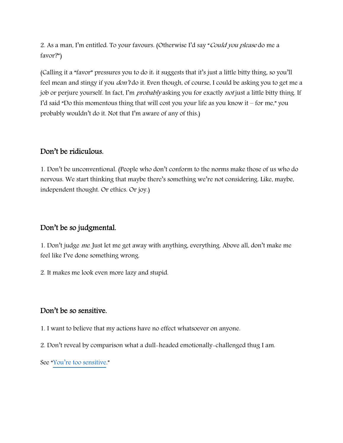2. As a man, I'm entitled. To your favours. (Otherwise I'd say "Could you please do me a favor?")

(Calling it a "favor" pressures you to do it: it suggests that it's just a little bitty thing, so you'll feel mean and stingy if you don't do it. Even though, of course, I could be asking you to get me a job or perjure yourself. In fact, I'm *probably* asking you for exactly *not* just a little bitty thing. If I'd said "Do this momentous thing that will cost you your life as you know it – for me," you probably wouldn't do it. Not that I'm aware of any of this.)

#### Don't be ridiculous.

1. Don't be unconventional. (People who don't conform to the norms make those of us who do nervous. We start thinking that maybe there's something we're not considering. Like, maybe, independent thought. Or ethics. Or joy.)

#### Don't be so judgmental.

1. Don't judge me. Just let me get away with anything, everything. Above all, don't make me feel like I've done something wrong.

2. It makes me look even more lazy and stupid.

#### Don't be so sensitive.

1. I want to believe that my actions have no effect whatsoever on anyone.

2. Don't reveal by comparison what a dull-headed emotionally-challenged thug I am.

See "You're too sensitive."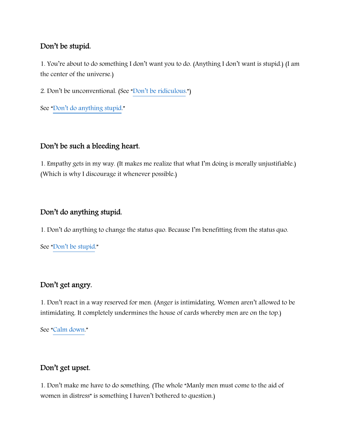#### Don't be stupid.

1. You're about to do something I don't want you to do. (Anything I don't want is stupid.) (I am the center of the universe.)

2. Don't be unconventional. (See "Don't be ridiculous.")

See "Don't do anything stupid."

#### Don't be such a bleeding heart.

1. Empathy gets in my way. (It makes me realize that what I'm doing is morally unjustifiable.) (Which is why I discourage it whenever possible.)

#### Don't do anything stupid.

1. Don't do anything to change the status quo. Because I'm benefitting from the status quo.

See "Don't be stupid."

#### Don't get angry.

1. Don't react in a way reserved for men. (Anger is intimidating. Women aren't allowed to be intimidating. It completely undermines the house of cards whereby men are on the top.)

See "Calm down."

#### Don't get upset.

1. Don't make me have to do something. (The whole "Manly men must come to the aid of women in distress" is something I haven't bothered to question.)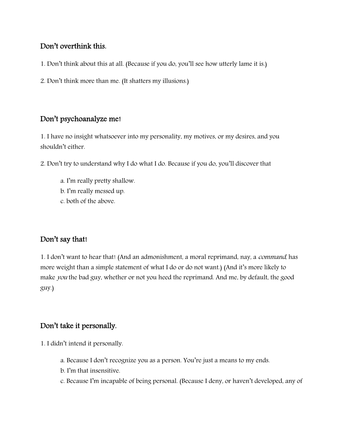#### Don't overthink this.

- 1. Don't think about this at all. (Because if you do, you'll see how utterly lame it is.)
- 2. Don't think more than me. (It shatters my illusions.)

#### Don't psychoanalyze me!

1. I have no insight whatsoever into my personality, my motives, or my desires, and you shouldn't either.

2. Don't try to understand why I do what I do. Because if you do, you'll discover that

- a. I'm really pretty shallow.
- b. I'm really messed up.
- c. both of the above.

#### Don't say that!

1. I don't want to hear that! (And an admonishment, a moral reprimand, nay, a *command*, has more weight than a simple statement of what I do or do not want.) (And it's more likely to make you the bad guy, whether or not you heed the reprimand. And me, by default, the good guy.)

#### Don't take it personally.

- 1. I didn't intend it personally.
	- a. Because I don't recognize you as a person. You're just a means to my ends.
	- b. I'm that insensitive.
	- c. Because I'm incapable of being personal. (Because I deny, or haven't developed, any of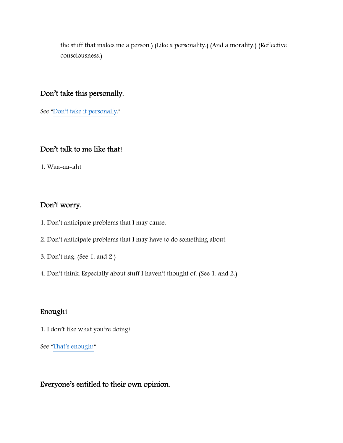the stuff that makes me a person.) (Like a personality.) (And a morality.) (Reflective consciousness.)

#### Don't take this personally.

See "Don't take it personally."

#### Don't talk to me like that!

1. Waa-aa-ah!

#### Don't worry.

- 1. Don't anticipate problems that I may cause.
- 2. Don't anticipate problems that I may have to do something about.
- 3. Don't nag. (See 1. and 2.)
- 4. Don't think. Especially about stuff I haven't thought of. (See 1. and 2.)

#### Enough!

- 1. I don't like what you're doing!
- See "That's enough!"

#### Everyone's entitled to their own opinion.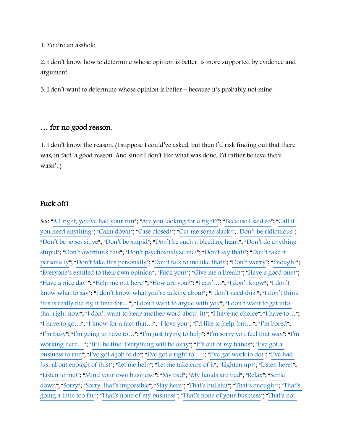1. You're an asshole.

2. I don't know how to determine whose opinion is better, is more supported by evidence and argument.

3. I don't want to determine whose opinion is better – because it's probably not mine.

#### … for no good reason.

1. I don't know the reason. (I suppose I could've asked, but then I'd risk finding out that there was, in fact, a good reason. And since I don't like what was done, I'd rather believe there wasn't.)

#### Fuck off!

See "All right, you've had your fun"; "Are you looking for a fight?"; "Because I said so"; "Call if you need anything"; "Calm down"; "Case closed!"; "Cut me some slack!"; "Don't be ridiculous"; "Don't be so sensitive"; "Don't be stupid"; "Don't be such a bleeding heart"; "Don't do anything stupid"; "Don't overthink this"; "Don't psychoanalyze me!"; "Don't say that!"; "Don't take it personally"; "Don't take this personally"; "Don't talk to me like that!"; "Don't worry"; "Enough!"; "Everyone's entitled to their own opinion"; "Fuck you!"; "Give me a break!"; "Have a good one!"; "Have a nice day!"; "Help me out here!"; "How are you?"; "I can't…"; "I don't know"; "I don't know what to say"; "I don't know what you're talking about"; "I don't need this!"; "I don't think this is really the right time for…"; "I don't want to argue with you"; "I don't want to get into that right now"; "I don't want to hear another word about it!"; "I have no choice"; "I have to…"; "I have to go…"; "I know for a fact that…"; "I love you"; "I'd like to help, but…"; "I'm bored"; "I'm busy"; "I'm going to have to…"; "I'm just trying to help"; "I'm sorry you feel that way"; "I'm working here…"; "It'll be fine. Everything will be okay"; "It's out of my hands"; "I've got a business to run"; "I've got a job to do"; "I've got a right to …"; "I've got work to do!"; "I've had just about enough of this!"; "Let me help"; "Let me take care of it"; "Lighten up!"; "Listen here!"; "Listen to me!"; "Mind your own business!"; "My bad"; "My hands are tied"; "Relax"; "Settle down"; "Sorry"; "Sorry, that's impossible"; "Stay here"; "That's bullshit"; "That's enough!"; "That's going a little too far"; "That's none of my business"; "That's none of your business"; "That's not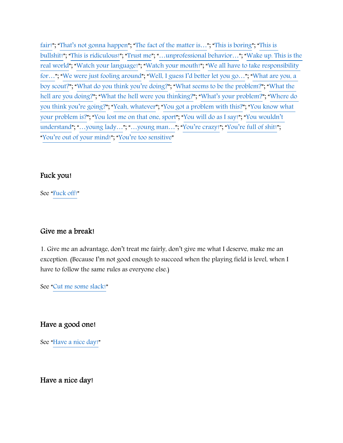fair!"; "That's not gonna happen"; "The fact of the matter is…"; "This is boring"; "This is bullshit!"; "This is ridiculous!"; "Trust me"; "…unprofessional behavior…"; "Wake up. This is the real world"; "Watch your language!"; "Watch your mouth!"; "We all have to take responsibility for..."; "We were just fooling around"; "Well, I guess I'd better let you go..."; "What are you, a boy scout?"; "What do you think you're doing?"; "What seems to be the problem?"; "What the hell are you doing?"; "What the hell were you thinking?"; "What's your problem?"; "Where do you think you're going?"; "Yeah, whatever"; "You got a problem with this?"; "You know what your problem is?"; "You lost me on that one, sport"; "You will do as I say!"; "You wouldn't understand"; "…young lady…"; "…young man…"; "You're crazy!"; "You're full of shit!"; "You're out of your mind!"; "You're too sensitive"

#### Fuck you!

See "Fuck off!"

#### Give me a break!

1. Give me an advantage, don't treat me fairly, don't give me what I deserve, make me an exception. (Because I'm not good enough to succeed when the playing field is level, when I have to follow the same rules as everyone else.)

See "Cut me some slack!"

#### Have a good one!

See "Have a nice day!"

#### Have a nice day!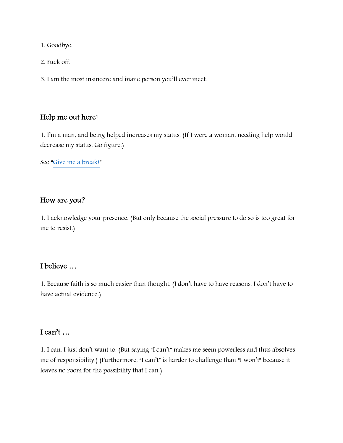1. Goodbye.

2. Fuck off.

3. I am the most insincere and inane person you'll ever meet.

#### Help me out here!

1. I'm a man, and being helped increases my status. (If I were a woman, needing help would decrease my status. Go figure.)

See "Give me a break!"

#### How are you?

1. I acknowledge your presence. (But only because the social pressure to do so is too great for me to resist.)

#### I believe …

1. Because faith is so much easier than thought. (I don't have to have reasons. I don't have to have actual evidence.)

#### I can't …

1. I can. I just don't want to. (But saying "I can't" makes me seem powerless and thus absolves me of responsibility.) (Furthermore, "I can't" is harder to challenge than "I won't" because it leaves no room for the possibility that I can.)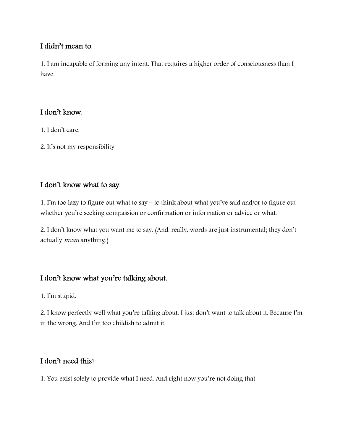#### I didn't mean to.

1. I am incapable of forming any intent. That requires a higher order of consciousness than I have.

#### I don't know.

- 1. I don't care.
- 2. It's not my responsibility.

#### I don't know what to say.

1. I'm too lazy to figure out what to say – to think about what you've said and/or to figure out whether you're seeking compassion or confirmation or information or advice or what.

2. I don't know what you want me to say. (And, really, words are just instrumental; they don't actually mean anything.)

#### I don't know what you're talking about.

1. I'm stupid.

2. I know perfectly well what you're talking about. I just don't want to talk about it. Because I'm in the wrong. And I'm too childish to admit it.

#### I don't need this!

1. You exist solely to provide what I need. And right now you're not doing that.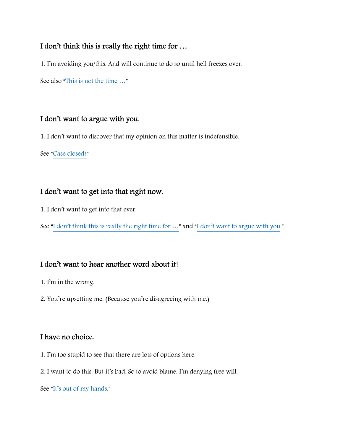#### I don't think this is really the right time for …

1. I'm avoiding you/this. And will continue to do so until hell freezes over.

See also "This is not the time …"

#### I don't want to argue with you.

1. I don't want to discover that my opinion on this matter is indefensible.

See "Case closed!"

#### I don't want to get into that right now.

1. I don't want to get into that ever.

See "I don't think this is really the right time for …" and "I don't want to argue with you."

#### I don't want to hear another word about it!

- 1. I'm in the wrong.
- 2. You're upsetting me. (Because you're disagreeing with me.)

#### I have no choice.

- 1. I'm too stupid to see that there are lots of options here.
- 2. I want to do this. But it's bad. So to avoid blame, I'm denying free will.

See "It's out of my hands."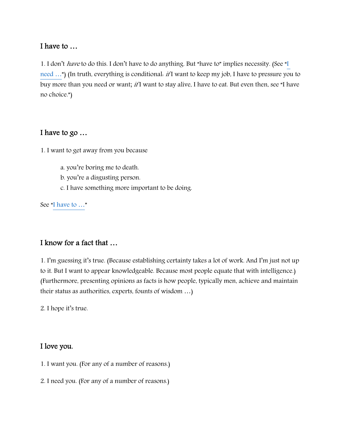#### I have to …

1. I don't *have* to do this. I don't have to do anything. But "have to" implies necessity. (See "I need ...") (In truth, everything is conditional: if I want to keep my job, I have to pressure you to buy more than you need or want; if I want to stay alive, I have to eat. But even then, see "I have no choice.")

#### I have to go …

1. I want to get away from you because

- a. you're boring me to death.
- b. you're a disgusting person.
- c. I have something more important to be doing.

See "I have to …"

#### I know for a fact that …

1. I'm guessing it's true. (Because establishing certainty takes a lot of work. And I'm just not up to it. But I want to appear knowledgeable. Because most people equate that with intelligence.) (Furthermore, presenting opinions as facts is how people, typically men, achieve and maintain their status as authorities, experts, founts of wisdom …)

2. I hope it's true.

#### I love you.

- 1. I want you. (For any of a number of reasons.)
- 2. I need you. (For any of a number of reasons.)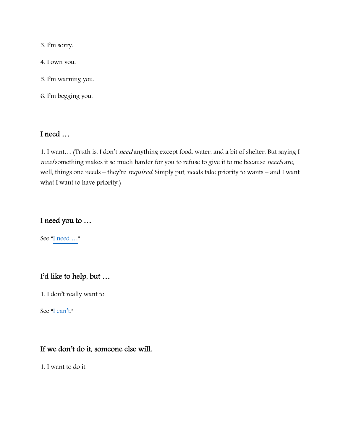3. I'm sorry.

4. I own you.

5. I'm warning you.

6. I'm begging you.

#### I need …

1. I want... (Truth is, I don't *need* anything except food, water, and a bit of shelter. But saying I need something makes it so much harder for you to refuse to give it to me because needs are, well, things one needs – they're *required*. Simply put, needs take priority to wants – and I want what I want to have priority.)

#### I need you to …

See "I need …"

#### I'd like to help, but …

1. I don't really want to.

See "I can't."

#### If we don't do it, someone else will.

1. I want to do it.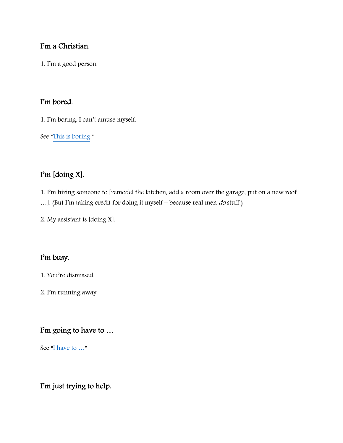#### I'm a Christian.

1. I'm a good person.

#### I'm bored.

1. I'm boring. I can't amuse myself.

See "This is boring."

#### I'm [doing X].

1. I'm hiring someone to [remodel the kitchen, add a room over the garage, put on a new roof

...]. (But I'm taking credit for doing it myself – because real men *do* stuff.)

2. My assistant is [doing X].

#### I'm busy.

1. You're dismissed.

2. I'm running away.

#### I'm going to have to …

See "I have to …"

I'm just trying to help.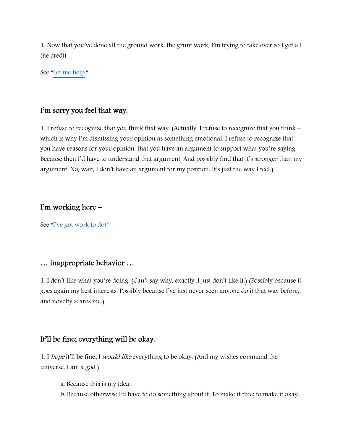1. Now that you've done all the ground work, the grunt work, I'm trying to take over so I get all the credit.

See "Let me help."

#### I'm sorry you feel that way.

1. I refuse to recognize that you think that way. (Actually, I refuse to recognize that you think – which is why I'm dismissing your opinion as something emotional. I refuse to recognize that you have reasons for your opinion, that you have an argument to support what you're saying. Because then I'd have to understand that argument. And possibly find that it's stronger than my argument. No, wait, I don't have an argument for my position. It's just the way I feel.)

#### I'm working here –

See "I've got work to do!"

#### … inappropriate behavior …

1. I don't like what you're doing. (Can't say why, exactly, I just don't like it.) (Possibly because it goes again my best interests. Possibly because I've just never seen anyone do it that way before, and novelty scares me.)

#### It'll be fine; everything will be okay.

1. I *hope* it'll be fine; I *would like* everything to be okay. (And my wishes command the universe. I am a god.)

- a. Because this is my idea.
- b. Because otherwise I'd have to do something about it. To make it fine; to make it okay.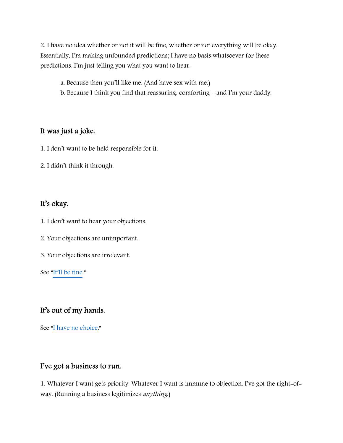2. I have no idea whether or not it will be fine, whether or not everything will be okay. Essentially, I'm making unfounded predictions; I have no basis whatsoever for these predictions. I'm just telling you what you want to hear.

- a. Because then you'll like me. (And have sex with me.)
- b. Because I think you find that reassuring, comforting and I'm your daddy.

#### It was just a joke.

- 1. I don't want to be held responsible for it.
- 2. I didn't think it through.

#### It's okay.

- 1. I don't want to hear your objections.
- 2. Your objections are unimportant.
- 3. Your objections are irrelevant.

See "It'll be fine."

#### It's out of my hands.

See "I have no choice."

#### I've got a business to run.

1. Whatever I want gets priority. Whatever I want is immune to objection. I've got the right-ofway. (Running a business legitimizes anything.)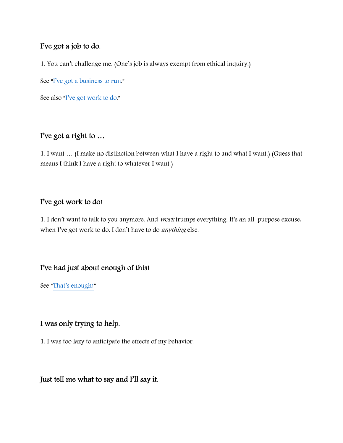#### I've got a job to do.

1. You can't challenge me. (One's job is always exempt from ethical inquiry.)

See "I've got a business to run."

See also "I've got work to do."

#### I've got a right to …

1. I want … (I make no distinction between what I have a right to and what I want.) (Guess that means I think I have a right to whatever I want.)

#### I've got work to do!

1. I don't want to talk to you anymore. And work trumps everything. It's an all-purpose excuse: when I've got work to do, I don't have to do *anything* else.

#### I've had just about enough of this!

See "That's enough!"

#### I was only trying to help.

1. I was too lazy to anticipate the effects of my behavior.

#### Just tell me what to say and I'll say it.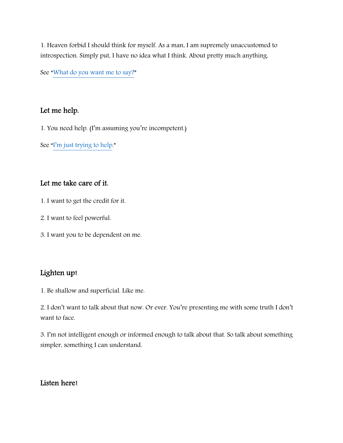1. Heaven forbid I should think for myself. As a man, I am supremely unaccustomed to introspection. Simply put, I have no idea what I think. About pretty much anything.

See "What do you want me to say?"

#### Let me help.

1. You need help. (I'm assuming you're incompetent.)

See "I'm just trying to help."

#### Let me take care of it.

- 1. I want to get the credit for it.
- 2. I want to feel powerful.
- 3. I want you to be dependent on me.

#### Lighten up!

1. Be shallow and superficial. Like me.

2. I don't want to talk about that now. Or ever. You're presenting me with some truth I don't want to face.

3. I'm not intelligent enough or informed enough to talk about that. So talk about something simpler, something I can understand.

#### Listen here!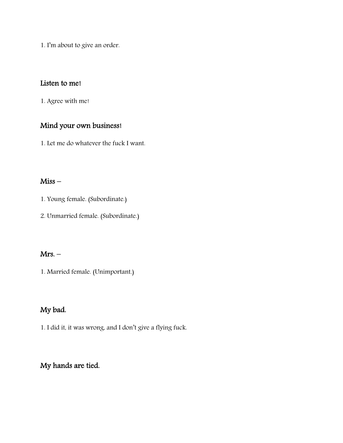1. I'm about to give an order.

#### Listen to me!

1. Agree with me!

#### Mind your own business!

1. Let me do whatever the fuck I want.

#### Miss –

- 1. Young female. (Subordinate.)
- 2. Unmarried female. (Subordinate.)

#### Mrs. –

1. Married female. (Unimportant.)

#### My bad.

1. I did it, it was wrong, and I don't give a flying fuck.

#### My hands are tied.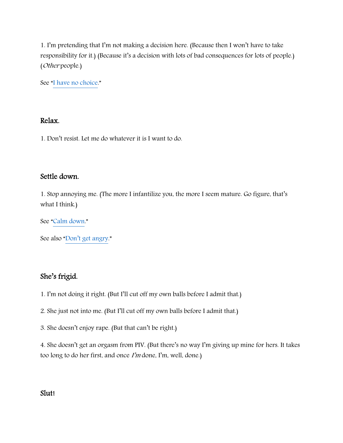1. I'm pretending that I'm not making a decision here. (Because then I won't have to take responsibility for it.) (Because it's a decision with lots of bad consequences for lots of people.) (Other people.)

See "I have no choice."

#### Relax.

1. Don't resist. Let me do whatever it is I want to do.

#### Settle down.

1. Stop annoying me. (The more I infantilize you, the more I seem mature. Go figure, that's what I think.)

See "Calm down."

See also "Don't get angry."

#### She's frigid.

- 1. I'm not doing it right. (But I'll cut off my own balls before I admit that.)
- 2. She just not into me. (But I'll cut off my own balls before I admit that.)
- 3. She doesn't enjoy rape. (But that can't be right.)

4. She doesn't get an orgasm from PIV. (But there's no way I'm giving up mine for hers. It takes too long to do her first, and once I'm done, I'm, well, done.)

#### Slut!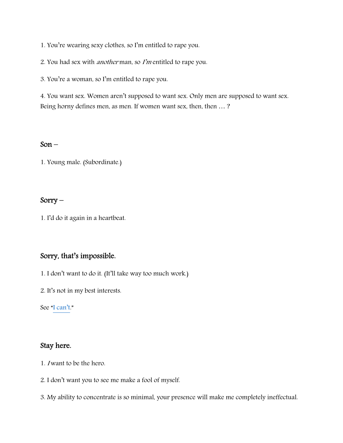1. You're wearing sexy clothes, so I'm entitled to rape you.

2. You had sex with *another* man, so I'm entitled to rape you.

3. You're a woman, so I'm entitled to rape you.

4. You want sex. Women aren't supposed to want sex. Only men are supposed to want sex. Being horny defines men, as men. If women want sex, then, then … ?

#### $Son -$

1. Young male. (Subordinate.)

#### Sorry –

1. I'd do it again in a heartbeat.

#### Sorry, that's impossible.

- 1. I don't want to do it. (It'll take way too much work.)
- 2. It's not in my best interests.

See "I can't."

#### Stay here.

- 1. *I* want to be the hero.
- 2. I don't want you to see me make a fool of myself.
- 3. My ability to concentrate is so minimal, your presence will make me completely ineffectual.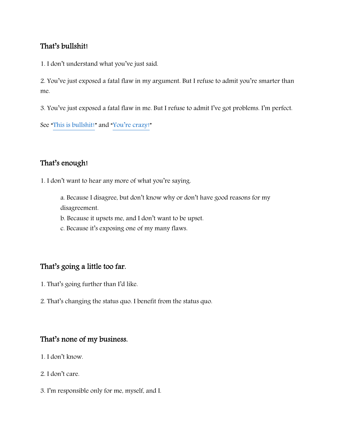#### That's bullshit!

1. I don't understand what you've just said.

2. You've just exposed a fatal flaw in my argument. But I refuse to admit you're smarter than me.

3. You've just exposed a fatal flaw in me. But I refuse to admit I've got problems. I'm perfect.

See "This is bullshit!" and "You're crazy!"

#### That's enough!

1. I don't want to hear any more of what you're saying.

a. Because I disagree, but don't know why or don't have good reasons for my disagreement.

b. Because it upsets me, and I don't want to be upset.

c. Because it's exposing one of my many flaws.

#### That's going a little too far.

- 1. That's going further than I'd like.
- 2. That's changing the status quo. I benefit from the status quo.

#### That's none of my business.

- 1. I don't know.
- 2. I don't care.
- 3. I'm responsible only for me, myself, and I.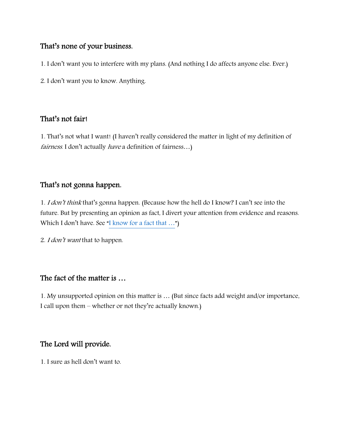#### That's none of your business.

1. I don't want you to interfere with my plans. (And nothing I do affects anyone else. Ever.)

2. I don't want you to know. Anything.

#### That's not fair!

1. That's not what I want! (I haven't really considered the matter in light of my definition of fairness. I don't actually have a definition of fairness...)

#### That's not gonna happen.

1. I don't think that's gonna happen. (Because how the hell do I know? I can't see into the future. But by presenting an opinion as fact, I divert your attention from evidence and reasons. Which I don't have. See "I know for a fact that ...")

2. *I don't want* that to happen.

#### The fact of the matter is …

1. My unsupported opinion on this matter is … (But since facts add weight and/or importance, I call upon them – whether or not they're actually known.)

#### The Lord will provide.

1. I sure as hell don't want to.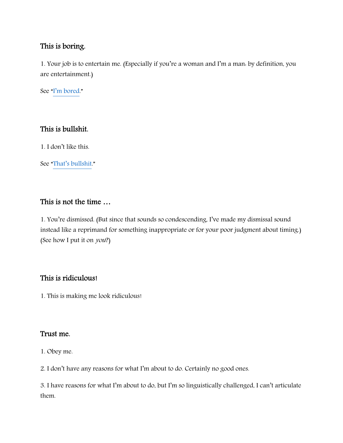#### This is boring.

1. Your job is to entertain me. (Especially if you're a woman and I'm a man: by definition, you are entertainment.)

See "I'm bored."

#### This is bullshit.

1. I don't like this.

See "That's bullshit."

#### This is not the time …

1. You're dismissed. (But since that sounds so condescending, I've made my dismissal sound instead like a reprimand for something inappropriate or for your poor judgment about timing.) (See how I put it on *you*?)

#### This is ridiculous!

1. This is making me look ridiculous!

#### Trust me.

1. Obey me.

2. I don't have any reasons for what I'm about to do. Certainly no good ones.

3. I have reasons for what I'm about to do, but I'm so linguistically challenged, I can't articulate them.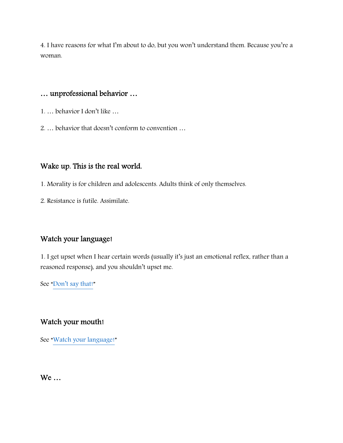4. I have reasons for what I'm about to do, but you won't understand them. Because you're a woman.

#### … unprofessional behavior …

- 1. … behavior I don't like …
- 2. … behavior that doesn't conform to convention …

#### Wake up. This is the real world.

- 1. Morality is for children and adolescents. Adults think of only themselves.
- 2. Resistance is futile. Assimilate.

#### Watch your language!

1. I get upset when I hear certain words (usually it's just an emotional reflex, rather than a reasoned response), and you shouldn't upset me.

See "Don't say that!"

#### Watch your mouth!

See "Watch your language!"

We …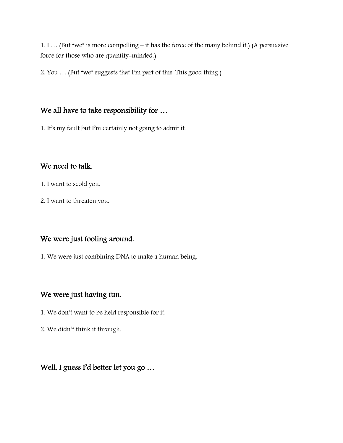1. I … (But "we" is more compelling – it has the force of the many behind it.) (A persuasive force for those who are quantity-minded.)

2. You … (But "we" suggests that I'm part of this. This good thing.)

#### We all have to take responsibility for …

1. It's my fault but I'm certainly not going to admit it.

#### We need to talk.

- 1. I want to scold you.
- 2. I want to threaten you.

#### We were just fooling around.

1. We were just combining DNA to make a human being.

#### We were just having fun.

- 1. We don't want to be held responsible for it.
- 2. We didn't think it through.

#### Well, I guess I'd better let you go …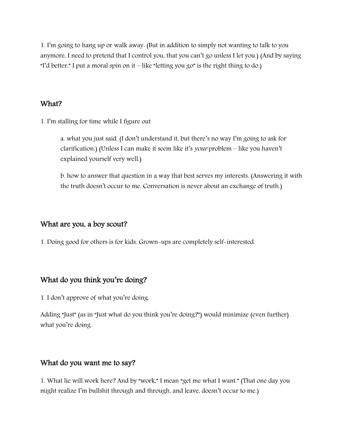1. I'm going to hang up or walk away. (But in addition to simply not wanting to talk to you anymore, I need to pretend that I control you, that you can't go unless I let you.) (And by saying "I'd better," I put a moral spin on it – like "letting you go" is the right thing to do.)

#### What?

1. I'm stalling for time while I figure out

a. what you just said. (I don't understand it, but there's no way I'm going to ask for clarification.) (Unless I can make it seem like it's your problem – like you haven't explained yourself very well.)

b. how to answer that question in a way that best serves my interests. (Answering it with the truth doesn't occur to me. Conversation is never about an exchange of truth.)

#### What are you, a boy scout?

1. Doing good for others is for kids. Grown-ups are completely self-interested.

#### What do you think you're doing?

1. I don't approve of what you're doing.

Adding "Just" (as in "Just what do you think you're doing?") would minimize (even further) what you're doing.

#### What do you want me to say?

1. What lie will work here? And by "work," I mean "get me what I want." (That one day you might realize I'm bullshit through and through, and leave, doesn't occur to me.)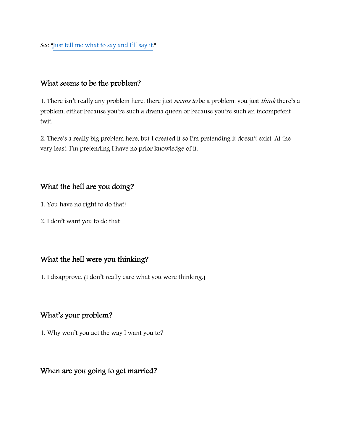See "Just tell me what to say and I'll say it."

#### What seems to be the problem?

1. There isn't really any problem here, there just seems to be a problem, you just think there's a problem, either because you're such a drama queen or because you're such an incompetent twit.

2. There's a really big problem here, but I created it so I'm pretending it doesn't exist. At the very least, I'm pretending I have no prior knowledge of it.

#### What the hell are you doing?

- 1. You have no right to do that!
- 2. I don't want you to do that!

#### What the hell were you thinking?

1. I disapprove. (I don't really care what you were thinking.)

#### What's your problem?

1. Why won't you act the way I want you to?

#### When are you going to get married?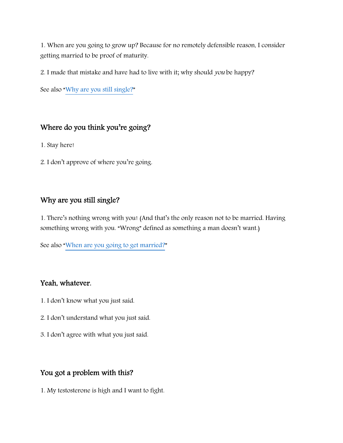1. When are you going to grow up? Because for no remotely defensible reason, I consider getting married to be proof of maturity.

2. I made that mistake and have had to live with it; why should *you* be happy?

See also "Why are you still single?"

#### Where do you think you're going?

1. Stay here!

2. I don't approve of where you're going.

#### Why are you still single?

1. There's nothing wrong with you! (And that's the only reason not to be married. Having something wrong with you. "Wrong" defined as something a man doesn't want.)

See also "When are you going to get married?"

#### Yeah, whatever.

- 1. I don't know what you just said.
- 2. I don't understand what you just said.
- 3. I don't agree with what you just said.

#### You got a problem with this?

1. My testosterone is high and I want to fight.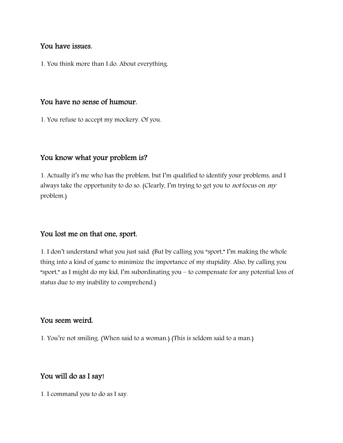#### You have issues.

1. You think more than I do. About everything.

#### You have no sense of humour.

1. You refuse to accept my mockery. Of you.

#### You know what your problem is?

1. Actually it's me who has the problem, but I'm qualified to identify your problems, and I always take the opportunity to do so. (Clearly, I'm trying to get you to *not* focus on *my* problem.)

#### You lost me on that one, sport.

1. I don't understand what you just said. (But by calling you "sport," I'm making the whole thing into a kind of game to minimize the importance of my stupidity. Also, by calling you "sport," as I might do my kid, I'm subordinating you – to compensate for any potential loss of status due to my inability to comprehend.)

#### You seem weird.

1. You're not smiling. (When said to a woman.) (This is seldom said to a man.)

#### You will do as I say!

1. I command you to do as I say.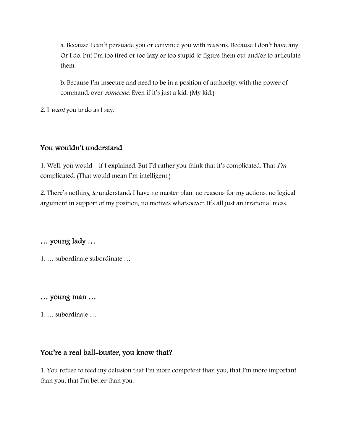a. Because I can't persuade you or convince you with reasons. Because I don't have any. Or I do, but I'm too tired or too lazy or too stupid to figure them out and/or to articulate them.

b. Because I'm insecure and need to be in a position of authority, with the power of command, over someone. Even if it's just a kid. (My kid.)

2. I want you to do as I say.

#### You wouldn't understand.

1. Well, you would – if I explained. But I'd rather you think that it's complicated. That I'm complicated. (That would mean I'm intelligent.)

2. There's nothing to understand: I have no master plan, no reasons for my actions, no logical argument in support of my position, no motives whatsoever. It's all just an irrational mess.

#### … young lady …

1. … subordinate subordinate …

#### … young man …

1. … subordinate …

#### You're a real ball-buster, you know that?

1. You refuse to feed my delusion that I'm more competent than you, that I'm more important than you, that I'm better than you.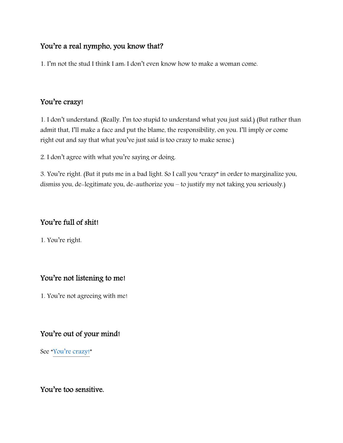#### You're a real nympho, you know that?

1. I'm not the stud I think I am: I don't even know how to make a woman come.

#### You're crazy!

1. I don't understand. (Really. I'm too stupid to understand what you just said.) (But rather than admit that, I'll make a face and put the blame, the responsibility, on you. I'll imply or come right out and say that what you've just said is too crazy to make sense.)

2. I don't agree with what you're saying or doing.

3. You're right. (But it puts me in a bad light. So I call you "crazy" in order to marginalize you, dismiss you, de-legitimate you, de-authorize you – to justify my not taking you seriously.)

#### You're full of shit!

1. You're right.

#### You're not listening to me!

1. You're not agreeing with me!

#### You're out of your mind!

See "You're crazy!"

#### You're too sensitive.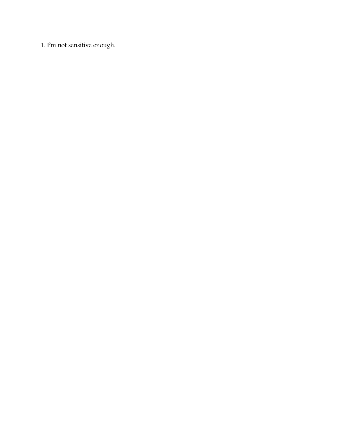1. I'm not sensitive enough.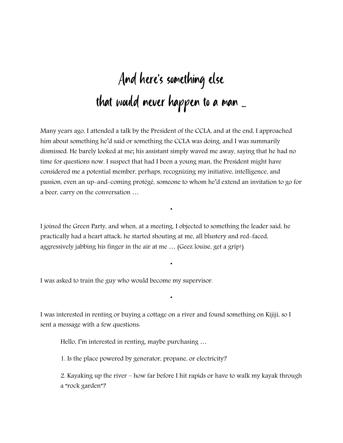### And here's something else that would never happen to a man ...

Many years ago, I attended a talk by the President of the CCLA, and at the end, I approached him about something he'd said or something the CCLA was doing, and I was summarily dismissed. He barely looked at me; his assistant simply waved me away, saying that he had no time for questions now. I suspect that had I been a young man, the President might have considered me a potential member, perhaps, recognizing my initiative, intelligence, and passion, even an up-and-coming protégé, someone to whom he'd extend an invitation to go for a beer, carry on the conversation …

•

I joined the Green Party, and when, at a meeting, I objected to something the leader said, he practically had a heart attack: he started shouting at me, all blustery and red-faced, aggressively jabbing his finger in the air at me … (Geez louise, get a grip!)

•

•

I was asked to train the guy who would become my supervisor.

I was interested in renting or buying a cottage on a river and found something on Kijiji, so I sent a message with a few questions:

Hello, I'm interested in renting, maybe purchasing …

1. Is the place powered by generator, propane, or electricity?

2. Kayaking up the river – how far before I hit rapids or have to walk my kayak through a "rock garden"?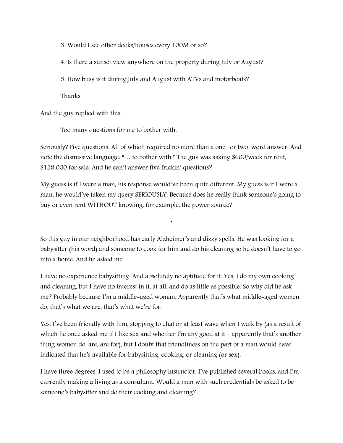3. Would I see other docks/houses every 100M or so?

4. Is there a sunset view anywhere on the property during July or August?

5. How busy is it during July and August with ATVs and motorboats?

Thanks.

And the guy replied with this:

Too many questions for me to bother with.

Seriously? Five questions. All of which required no more than a one- or two-word answer. And note the dismissive language: "… to bother with." The guy was asking \$600/week for rent, \$129,000 for sale. And he can't answer five frickin' questions?

My guess is if I were a man, his response would've been quite different. My guess is if I were a man, he would've taken my query SERIOUSLY. Because does he really think someone's going to buy or even rent WITHOUT knowing, for example, the power source?

•

So this guy in our neighborhood has early Alzheimer's and dizzy spells. He was looking for a babysitter (his word) and someone to cook for him and do his cleaning so he doesn't have to go into a home. And he asked me.

I have no experience babysitting. And absolutely no aptitude for it. Yes, I do my own cooking and cleaning, but I have no interest in it, at all, and do as little as possible. So why did he ask me? Probably because I'm a middle-aged woman. Apparently that's what middle-aged women do, that's what we are, that's what we're for.

Yes, I've been friendly with him, stopping to chat or at least wave when I walk by (as a result of which he once asked me if I like sex and whether I'm any good at it – apparently that's another thing women do, are, are for), but I doubt that friendliness on the part of a man would have indicated that he's available for babysitting, cooking, or cleaning (or sex).

I have three degrees, I used to be a philosophy instructor, I've published several books, and I'm currently making a living as a consultant. Would a man with such credentials be asked to be someone's babysitter and do their cooking and cleaning?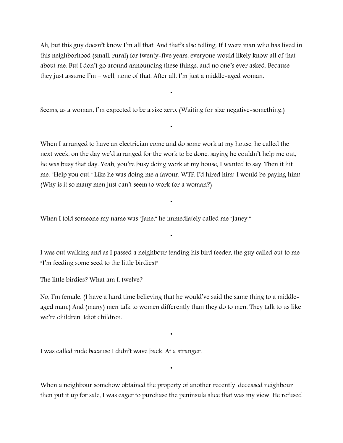Ah, but this guy doesn't know I'm all that. And that's also telling. If I were man who has lived in this neighborhood (small, rural) for twenty-five years, everyone would likely know all of that about me. But I don't go around announcing these things, and no one's ever asked. Because they just assume I'm – well, none of that. After all, I'm just a middle-aged woman.

•

•

Seems, as a woman, I'm expected to be a size zero. (Waiting for size negative-something.)

When I arranged to have an electrician come and do some work at my house, he called the next week, on the day we'd arranged for the work to be done, saying he couldn't help me out, he was busy that day. Yeah, you're busy doing work at my house, I wanted to say. Then it hit me. "Help you out." Like he was doing me a favour. WTF. I'd hired him! I would be paying him! (Why is it so many men just can't seem to work for a woman?)

•

When I told someone my name was "Jane," he immediately called me "Janey."

I was out walking and as I passed a neighbour tending his bird feeder, the guy called out to me "I'm feeding some seed to the little birdies!"

•

The little birdies? What am I, twelve?

No, I'm female. (I have a hard time believing that he would've said the same thing to a middleaged man.) And (many) men talk to women differently than they do to men. They talk to us like we're children. Idiot children.

•

I was called rude because I didn't wave back. At a stranger.

When a neighbour somehow obtained the property of another recently-deceased neighbour then put it up for sale, I was eager to purchase the peninsula slice that was my view. He refused

•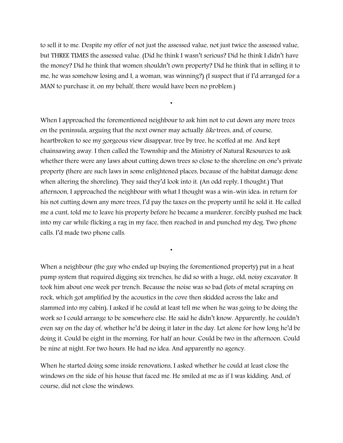to sell it to me. Despite my offer of not just the assessed value, not just twice the assessed value, but THREE TIMES the assessed value. (Did he think I wasn't serious? Did he think I didn't have the money? Did he think that women shouldn't own property? Did he think that in selling it to me, he was somehow losing and I, a woman, was winning?) (I suspect that if I'd arranged for a MAN to purchase it, on my behalf, there would have been no problem.)

•

When I approached the forementioned neighbour to ask him not to cut down any more trees on the peninsula, arguing that the next owner may actually *like* trees, and, of course, heartbroken to see my gorgeous view disappear, tree by tree, he scoffed at me. And kept chainsawing away. I then called the Township and the Ministry of Natural Resources to ask whether there were any laws about cutting down trees so close to the shoreline on one's private property (there are such laws in some enlightened places, because of the habitat damage done when altering the shoreline). They said they'd look into it. (An odd reply, I thought.) That afternoon, I approached the neighbour with what I thought was a win-win idea: in return for his not cutting down any more trees, I'd pay the taxes on the property until he sold it. He called me a cunt, told me to leave his property before he became a murderer, forcibly pushed me back into my car while flicking a rag in my face, then reached in and punched my dog. Two phone calls. I'd made two phone calls.

When a neighbour (the guy who ended up buying the forementioned property) put in a heat pump system that required digging six trenches, he did so with a huge, old, noisy excavator. It took him about one week per trench. Because the noise was so bad (lots of metal scraping on rock, which got amplified by the acoustics in the cove then skidded across the lake and slammed into my cabin), I asked if he could at least tell me when he was going to be doing the work so I could arrange to be somewhere else. He said he didn't know. Apparently, he couldn't even say on the day of, whether he'd be doing it later in the day. Let alone for how long he'd be doing it. Could be eight in the morning. For half an hour. Could be two in the afternoon. Could be nine at night. For two hours. He had no idea. And apparently no agency.

•

When he started doing some inside renovations, I asked whether he could at least close the windows on the side of his house that faced me. He smiled at me as if I was kidding. And, of course, did not close the windows.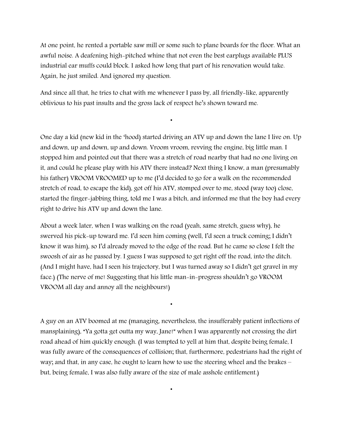At one point, he rented a portable saw mill or some such to plane boards for the floor. What an awful noise. A deafening high-pitched whine that not even the best earplugs available PLUS industrial ear muffs could block. I asked how long that part of his renovation would take. Again, he just smiled. And ignored my question.

And since all that, he tries to chat with me whenever I pass by, all friendly-like, apparently oblivious to his past insults and the gross lack of respect he's shown toward me.

One day a kid (new kid in the 'hood) started driving an ATV up and down the lane I live on. Up and down, up and down, up and down. Vroom vroom, revving the engine, big little man. I stopped him and pointed out that there was a stretch of road nearby that had no one living on it, and could he please play with his ATV there instead? Next thing I know, a man (presumably his father) VROOM VROOMED up to me (I'd decided to go for a walk on the recommended stretch of road, to escape the kid), got off his ATV, stomped over to me, stood (way too) close, started the finger-jabbing thing, told me I was a bitch, and informed me that the boy had every right to drive his ATV up and down the lane.

•

About a week later, when I was walking on the road (yeah, same stretch, guess why), he swerved his pick-up toward me. I'd seen him coming (well, I'd seen a truck coming; I didn't know it was him), so I'd already moved to the edge of the road. But he came so close I felt the swoosh of air as he passed by. I guess I was supposed to get right off the road, into the ditch. (And I might have, had I seen his trajectory, but I was turned away so I didn't get gravel in my face.) (The nerve of me! Suggesting that his little man-in-progress shouldn't go VROOM VROOM all day and annoy all the neighbours!)

A guy on an ATV boomed at me (managing, nevertheless, the insufferably patient inflections of mansplaining), "Ya gotta get outta my way, Jane!" when I was apparently not crossing the dirt road ahead of him quickly enough. (I was tempted to yell at him that, despite being female, I was fully aware of the consequences of collision; that, furthermore, pedestrians had the right of way; and that, in any case, he ought to learn how to use the steering wheel and the brakes – but, being female, I was also fully aware of the size of male asshole entitlement.)

•

•